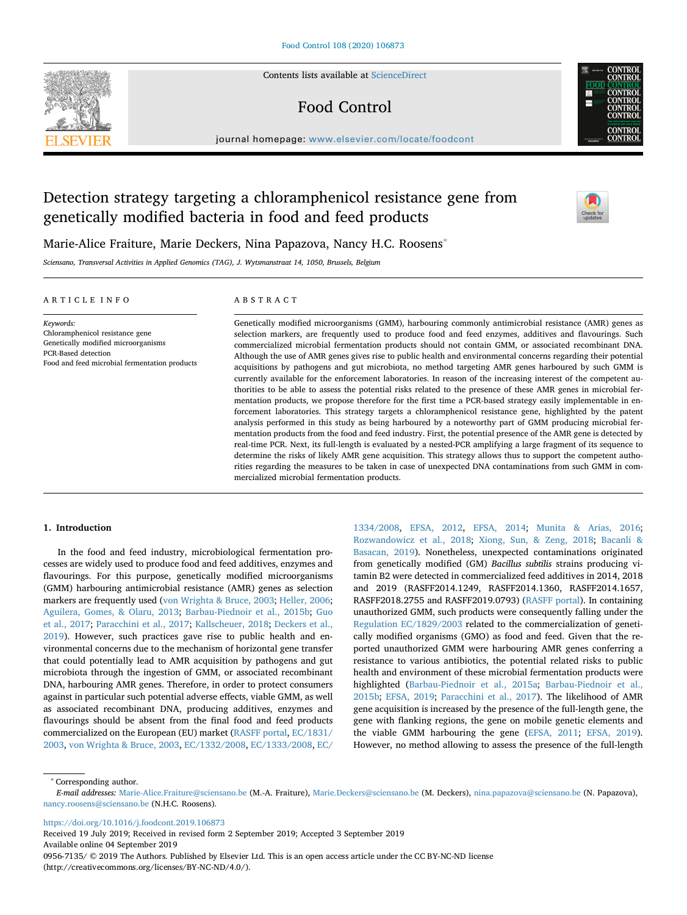Contents lists available at [ScienceDirect](http://www.sciencedirect.com/science/journal/09567135)

# Food Control

journal homepage: [www.elsevier.com/locate/foodcont](https://www.elsevier.com/locate/foodcont)

# Detection strategy targeting a chloramphenicol resistance gene from genetically modified bacteria in food and feed products

# Marie-Alice Fraiture, Marie Deckers, Nina Papazova, Nancy H.C. Roosens[∗](#page-0-0)

*Sciensano, Transversal Activities in Applied Genomics (TAG), J. Wytsmanstraat 14, 1050, Brussels, Belgium*

#### ARTICLE INFO

# ABSTRACT

*Keywords:* Chloramphenicol resistance gene Genetically modified microorganisms PCR-Based detection Food and feed microbial fermentation products Genetically modified microorganisms (GMM), harbouring commonly antimicrobial resistance (AMR) genes as selection markers, are frequently used to produce food and feed enzymes, additives and flavourings. Such commercialized microbial fermentation products should not contain GMM, or associated recombinant DNA. Although the use of AMR genes gives rise to public health and environmental concerns regarding their potential acquisitions by pathogens and gut microbiota, no method targeting AMR genes harboured by such GMM is currently available for the enforcement laboratories. In reason of the increasing interest of the competent authorities to be able to assess the potential risks related to the presence of these AMR genes in microbial fermentation products, we propose therefore for the first time a PCR-based strategy easily implementable in enforcement laboratories. This strategy targets a chloramphenicol resistance gene, highlighted by the patent analysis performed in this study as being harboured by a noteworthy part of GMM producing microbial fermentation products from the food and feed industry. First, the potential presence of the AMR gene is detected by real-time PCR. Next, its full-length is evaluated by a nested-PCR amplifying a large fragment of its sequence to determine the risks of likely AMR gene acquisition. This strategy allows thus to support the competent authorities regarding the measures to be taken in case of unexpected DNA contaminations from such GMM in commercialized microbial fermentation products.

#### **1. Introduction**

In the food and feed industry, microbiological fermentation processes are widely used to produce food and feed additives, enzymes and flavourings. For this purpose, genetically modified microorganisms (GMM) harbouring antimicrobial resistance (AMR) genes as selection markers are frequently used ([von Wrighta & Bruce, 2003;](#page-7-0) [Heller, 2006](#page-7-1); [Aguilera, Gomes, & Olaru, 2013](#page-6-0); [Barbau-Piednoir et al., 2015b;](#page-6-1) [Guo](#page-7-2) [et al., 2017;](#page-7-2) [Paracchini et al., 2017](#page-7-3); [Kallscheuer, 2018](#page-7-4); [Deckers et al.,](#page-6-2) [2019\)](#page-6-2). However, such practices gave rise to public health and environmental concerns due to the mechanism of horizontal gene transfer that could potentially lead to AMR acquisition by pathogens and gut microbiota through the ingestion of GMM, or associated recombinant DNA, harbouring AMR genes. Therefore, in order to protect consumers against in particular such potential adverse effects, viable GMM, as well as associated recombinant DNA, producing additives, enzymes and flavourings should be absent from the final food and feed products commercialized on the European (EU) market ([RASFF portal](#page-7-5), [EC/1831/](#page-7-6) [2003,](#page-7-6) [von Wrighta & Bruce, 2003,](#page-7-0) [EC/1332/2008](#page-7-7), [EC/1333/2008,](#page-7-8) [EC/](#page-7-9)

[1334/2008](#page-7-9), [EFSA, 2012](#page-6-3), [EFSA, 2014](#page-6-4); [Munita & Arias, 2016](#page-7-10); [Rozwandowicz et al., 2018;](#page-7-11) [Xiong, Sun, & Zeng, 2018;](#page-7-12) [Bacanli &](#page-6-5) [Basacan, 2019\)](#page-6-5). Nonetheless, unexpected contaminations originated from genetically modified (GM) *Bacillus subtilis* strains producing vitamin B2 were detected in commercialized feed additives in 2014, 2018 and 2019 (RASFF2014.1249, RASFF2014.1360, RASFF2014.1657, RASFF2018.2755 and RASFF2019.0793) [\(RASFF portal\)](#page-7-5). In containing unauthorized GMM, such products were consequently falling under the [Regulation EC/1829/2003](#page-7-13) related to the commercialization of genetically modified organisms (GMO) as food and feed. Given that the reported unauthorized GMM were harbouring AMR genes conferring a resistance to various antibiotics, the potential related risks to public health and environment of these microbial fermentation products were highlighted ([Barbau-Piednoir et al., 2015a](#page-6-6); [Barbau-Piednoir et al.,](#page-6-1) [2015b;](#page-6-1) [EFSA, 2019;](#page-6-7) [Paracchini et al., 2017](#page-7-3)). The likelihood of AMR gene acquisition is increased by the presence of the full-length gene, the gene with flanking regions, the gene on mobile genetic elements and the viable GMM harbouring the gene [\(EFSA, 2011;](#page-6-8) [EFSA, 2019](#page-6-7)). However, no method allowing to assess the presence of the full-length

<span id="page-0-0"></span><sup>∗</sup> Corresponding author.

<https://doi.org/10.1016/j.foodcont.2019.106873>

Received 19 July 2019; Received in revised form 2 September 2019; Accepted 3 September 2019 Available online 04 September 2019

0956-7135/ © 2019 The Authors. Published by Elsevier Ltd. This is an open access article under the CC BY-NC-ND license (http://creativecommons.org/licenses/BY-NC-ND/4.0/).





 $\sum_{\text{the}}$ 

*E-mail addresses:* [Marie-Alice.Fraiture@sciensano.be](mailto:Marie-Alice.Fraiture@sciensano.be) (M.-A. Fraiture), [Marie.Deckers@sciensano.be](mailto:Marie.Deckers@sciensano.be) (M. Deckers), [nina.papazova@sciensano.be](mailto:nina.papazova@sciensano.be) (N. Papazova), [nancy.roosens@sciensano.be](mailto:nancy.roosens@sciensano.be) (N.H.C. Roosens).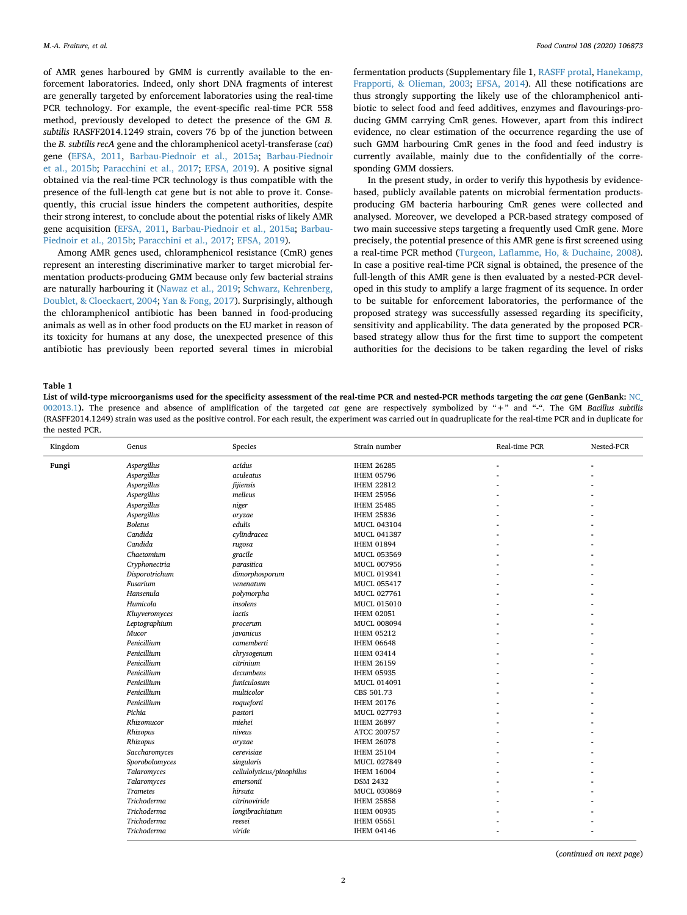of AMR genes harboured by GMM is currently available to the enforcement laboratories. Indeed, only short DNA fragments of interest are generally targeted by enforcement laboratories using the real-time PCR technology. For example, the event-specific real-time PCR 558 method, previously developed to detect the presence of the GM *B. subtilis* RASFF2014.1249 strain, covers 76 bp of the junction between the *B. subtilis recA* gene and the chloramphenicol acetyl-transferase (*cat*) gene [\(EFSA, 2011,](#page-6-8) [Barbau-Piednoir et al., 2015a](#page-6-6); [Barbau-Piednoir](#page-6-1) [et al., 2015b](#page-6-1); [Paracchini et al., 2017](#page-7-3); [EFSA, 2019\)](#page-6-7). A positive signal obtained via the real-time PCR technology is thus compatible with the presence of the full-length cat gene but is not able to prove it. Consequently, this crucial issue hinders the competent authorities, despite their strong interest, to conclude about the potential risks of likely AMR gene acquisition [\(EFSA, 2011,](#page-6-8) [Barbau-Piednoir et al., 2015a;](#page-6-6) [Barbau-](#page-6-1)[Piednoir et al., 2015b](#page-6-1); [Paracchini et al., 2017;](#page-7-3) [EFSA, 2019\)](#page-6-7).

Among AMR genes used, chloramphenicol resistance (CmR) genes represent an interesting discriminative marker to target microbial fermentation products-producing GMM because only few bacterial strains are naturally harbouring it ([Nawaz et al., 2019](#page-7-14); [Schwarz, Kehrenberg,](#page-7-15) [Doublet, & Cloeckaert, 2004;](#page-7-15) [Yan & Fong, 2017](#page-7-16)). Surprisingly, although the chloramphenicol antibiotic has been banned in food-producing animals as well as in other food products on the EU market in reason of its toxicity for humans at any dose, the unexpected presence of this antibiotic has previously been reported several times in microbial

fermentation products (Supplementary file 1, [RASFF protal](#page-7-5), [Hanekamp,](#page-7-17) [Frapporti, & Olieman, 2003;](#page-7-17) [EFSA, 2014](#page-6-4)). All these notifications are thus strongly supporting the likely use of the chloramphenicol antibiotic to select food and feed additives, enzymes and flavourings-producing GMM carrying CmR genes. However, apart from this indirect evidence, no clear estimation of the occurrence regarding the use of such GMM harbouring CmR genes in the food and feed industry is currently available, mainly due to the confidentially of the corresponding GMM dossiers.

In the present study, in order to verify this hypothesis by evidencebased, publicly available patents on microbial fermentation productsproducing GM bacteria harbouring CmR genes were collected and analysed. Moreover, we developed a PCR-based strategy composed of two main successive steps targeting a frequently used CmR gene. More precisely, the potential presence of this AMR gene is first screened using a real-time PCR method [\(Turgeon, Laflamme, Ho, & Duchaine, 2008](#page-7-18)). In case a positive real-time PCR signal is obtained, the presence of the full-length of this AMR gene is then evaluated by a nested-PCR developed in this study to amplify a large fragment of its sequence. In order to be suitable for enforcement laboratories, the performance of the proposed strategy was successfully assessed regarding its specificity, sensitivity and applicability. The data generated by the proposed PCRbased strategy allow thus for the first time to support the competent authorities for the decisions to be taken regarding the level of risks

<span id="page-1-0"></span>**Table 1**

**List of wild-type microorganisms used for the specificity assessment of the real-time PCR and nested-PCR methods targeting the** *cat* **gene (GenBank:** [NC\\_](http://www.ncbi.nlm.nih.gov/entrez/query.fcgi?cmd=search&db=nucleotide&doptcmdl=genbank&term=NC_002013.1) [002013.1](http://www.ncbi.nlm.nih.gov/entrez/query.fcgi?cmd=search&db=nucleotide&doptcmdl=genbank&term=NC_002013.1)**).** The presence and absence of amplification of the targeted *cat* gene are respectively symbolized by "+" and "-". The GM *Bacillus subtilis* (RASFF2014.1249) strain was used as the positive control. For each result, the experiment was carried out in quadruplicate for the real-time PCR and in duplicate for the nested PCR.

| Kingdom | Genus           | Species                   | Strain number      | Real-time PCR | Nested-PCR |
|---------|-----------------|---------------------------|--------------------|---------------|------------|
| Fungi   | Aspergillus     | acidus                    | <b>IHEM 26285</b>  |               |            |
|         | Aspergillus     | aculeatus                 | <b>IHEM 05796</b>  |               |            |
|         | Aspergillus     | fijiensis                 | <b>IHEM 22812</b>  |               |            |
|         | Aspergillus     | melleus                   | <b>IHEM 25956</b>  |               |            |
|         | Aspergillus     | niger                     | <b>IHEM 25485</b>  |               |            |
|         | Aspergillus     | oryzae                    | <b>IHEM 25836</b>  |               |            |
|         | <b>Boletus</b>  | edulis                    | <b>MUCL 043104</b> |               |            |
|         | Candida         | cylindracea               | MUCL 041387        |               |            |
|         | Candida         | rugosa                    | <b>IHEM 01894</b>  |               |            |
|         | Chaetomium      | gracile                   | <b>MUCL 053569</b> |               |            |
|         | Cryphonectria   | parasitica                | <b>MUCL 007956</b> |               |            |
|         | Disporotrichum  | dimorphosporum            | MUCL 019341        |               |            |
|         | Fusarium        | venenatum                 | <b>MUCL 055417</b> |               |            |
|         | Hansenula       | polymorpha                | MUCL 027761        |               |            |
|         | Humicola        | insolens                  | <b>MUCL 015010</b> |               |            |
|         | Kluyveromyces   | lactis                    | <b>IHEM 02051</b>  |               |            |
|         | Leptographium   | procerum                  | <b>MUCL 008094</b> |               |            |
|         | Mucor           | javanicus                 | <b>IHEM 05212</b>  |               |            |
|         | Penicillium     | camemberti                | <b>IHEM 06648</b>  |               |            |
|         | Penicillium     | chrysogenum               | <b>IHEM 03414</b>  |               |            |
|         | Penicillium     | citrinium                 | <b>IHEM 26159</b>  |               |            |
|         | Penicillium     | decumbens                 | <b>IHEM 05935</b>  |               |            |
|         | Penicillium     | funiculosum               | <b>MUCL 014091</b> |               |            |
|         | Penicillium     | multicolor                | CBS 501.73         |               |            |
|         | Penicillium     | roqueforti                | <b>IHEM 20176</b>  |               |            |
|         | Pichia          | pastori                   | <b>MUCL 027793</b> |               |            |
|         | Rhizomucor      | miehei                    | <b>IHEM 26897</b>  |               |            |
|         | Rhizopus        | niveus                    | ATCC 200757        |               |            |
|         | Rhizopus        | oryzae                    | <b>IHEM 26078</b>  |               |            |
|         | Saccharomyces   | cerevisiae                | <b>IHEM 25104</b>  |               |            |
|         | Sporobolomyces  | singularis                | MUCL 027849        |               |            |
|         | Talaromyces     | cellulolyticus/pinophilus | <b>IHEM 16004</b>  |               |            |
|         | Talaromyces     | emersonii                 | <b>DSM 2432</b>    |               |            |
|         | <b>Trametes</b> | hirsuta                   | <b>MUCL 030869</b> |               |            |
|         | Trichoderma     | citrinoviride             | <b>IHEM 25858</b>  |               |            |
|         | Trichoderma     | longibrachiatum           | <b>IHEM 00935</b>  |               |            |
|         | Trichoderma     | reesei                    | <b>IHEM 05651</b>  |               |            |
|         | Trichoderma     | viride                    | <b>IHEM 04146</b>  |               |            |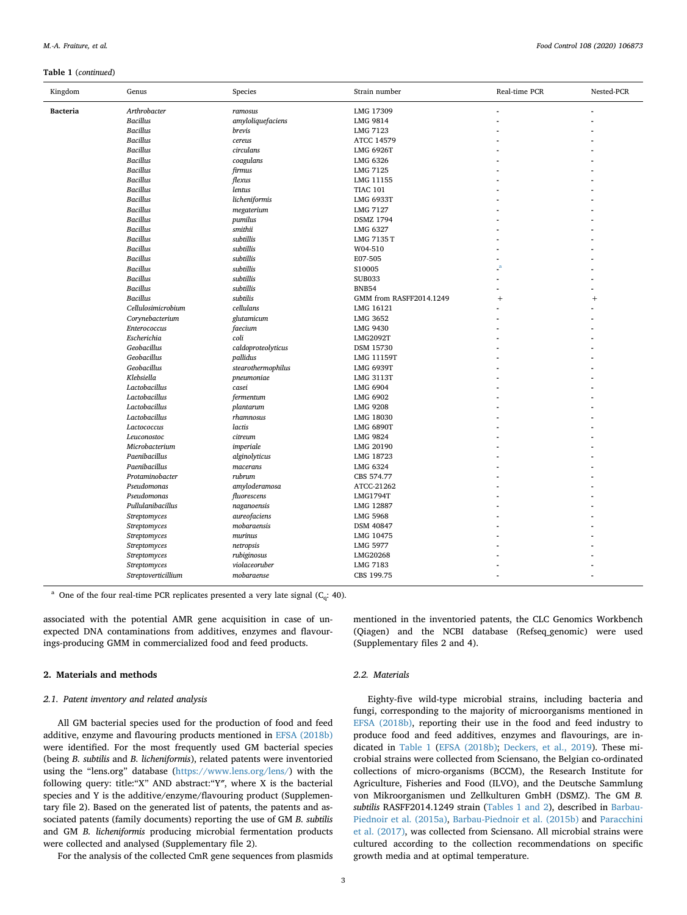| M.-A. Fraiture, et al. |  |  |
|------------------------|--|--|
|                        |  |  |

#### **Table 1** (*continued*)

| Kingdom  | Genus               | Species            | Strain number           | Real-time PCR | Nested-PCR |
|----------|---------------------|--------------------|-------------------------|---------------|------------|
| Bacteria | Arthrobacter        | ramosus            | LMG 17309               |               |            |
|          | <b>Bacillus</b>     | amyloliquefaciens  | <b>LMG 9814</b>         |               |            |
|          | <b>Bacillus</b>     | brevis             | <b>LMG 7123</b>         |               |            |
|          | <b>Bacillus</b>     | cereus             | <b>ATCC 14579</b>       |               |            |
|          | <b>Bacillus</b>     | circulans          | <b>LMG 6926T</b>        |               |            |
|          | <b>Bacillus</b>     | coagulans          | LMG 6326                |               |            |
|          | <b>Bacillus</b>     | firmus             | <b>LMG 7125</b>         |               |            |
|          | <b>Bacillus</b>     | flexus             | LMG 11155               |               |            |
|          | <b>Bacillus</b>     | lentus             | <b>TIAC 101</b>         |               |            |
|          | <b>Bacillus</b>     | licheniformis      | <b>LMG 6933T</b>        |               |            |
|          | <b>Bacillus</b>     | megaterium         | <b>LMG 7127</b>         |               |            |
|          | <b>Bacillus</b>     | pumilus            | <b>DSMZ 1794</b>        |               |            |
|          | <b>Bacillus</b>     | smithii            | LMG 6327                |               |            |
|          | <b>Bacillus</b>     | subtillis          | LMG 7135 T              |               |            |
|          | <b>Bacillus</b>     | subtillis          | W04-510                 |               |            |
|          | <b>Bacillus</b>     | subtillis          | E07-505                 |               |            |
|          | <b>Bacillus</b>     | subtillis          | S10005                  | a             |            |
|          | <b>Bacillus</b>     | subtillis          | <b>SUB033</b>           |               |            |
|          | <b>Bacillus</b>     | subtillis          | <b>BNB54</b>            |               |            |
|          | <b>Bacillus</b>     | subtilis           | GMM from RASFF2014.1249 | $^{+}$        | $^{+}$     |
|          | Cellulosimicrobium  | cellulans          | LMG 16121               |               |            |
|          | Corynebacterium     | glutamicum         | LMG 3652                |               |            |
|          | Enterococcus        | faecium            | <b>LMG 9430</b>         |               |            |
|          | Escherichia         | coli               | <b>LMG2092T</b>         |               |            |
|          | Geobacillus         | caldoproteolyticus | DSM 15730               |               |            |
|          | Geobacillus         | pallidus           | LMG 11159T              |               |            |
|          | Geobacillus         | stearothermophilus | <b>LMG 6939T</b>        |               |            |
|          | Klebsiella          | pneumoniae         | <b>LMG 3113T</b>        |               |            |
|          | Lactobacillus       | casei              | <b>LMG 6904</b>         |               |            |
|          | Lactobacillus       | fermentum          | LMG 6902                |               |            |
|          | Lactobacillus       | plantarum          | <b>LMG 9208</b>         |               |            |
|          | Lactobacillus       | rhamnosus          | <b>LMG 18030</b>        |               |            |
|          | Lactococcus         | lactis             | <b>LMG 6890T</b>        |               |            |
|          | Leuconostoc         | citreum            | <b>LMG 9824</b>         |               |            |
|          | Microbacterium      | imperiale          | LMG 20190               |               |            |
|          | Paenibacillus       | alginolyticus      | LMG 18723               |               |            |
|          | Paenibacillus       | macerans           | LMG 6324                |               |            |
|          | Protaminobacter     | rubrum             | CBS 574.77              |               |            |
|          | Pseudomonas         | amyloderamosa      | ATCC-21262              |               |            |
|          | Pseudomonas         | fluorescens        | LMG1794T                |               |            |
|          | Pullulanibacillus   | naganoensis        | LMG 12887               |               |            |
|          | Streptomyces        | aureofaciens       | <b>LMG 5968</b>         |               |            |
|          | Streptomyces        | mobaraensis        | <b>DSM 40847</b>        |               |            |
|          | Streptomyces        | murinus            | LMG 10475               |               |            |
|          | Streptomyces        | netropsis          | <b>LMG 5977</b>         |               |            |
|          | Streptomyces        | rubiginosus        | LMG20268                |               |            |
|          | Streptomyces        | violaceoruber      | <b>LMG 7183</b>         |               |            |
|          | Streptoverticillium | mobaraense         | CBS 199.75              |               |            |
|          |                     |                    |                         |               |            |

<span id="page-2-0"></span><sup>a</sup> One of the four real-time PCR replicates presented a very late signal ( $C_q$ : 40).

associated with the potential AMR gene acquisition in case of unexpected DNA contaminations from additives, enzymes and flavourings-producing GMM in commercialized food and feed products.

#### **2. Materials and methods**

# *2.1. Patent inventory and related analysis*

All GM bacterial species used for the production of food and feed additive, enzyme and flavouring products mentioned in [EFSA \(2018b\)](#page-6-9) were identified. For the most frequently used GM bacterial species (being *B. subtilis* and *B. licheniformis*), related patents were inventoried using the "lens.org" database [\(https://www.lens.org/lens/\)](https://www.lens.org/lens/) with the following query: title:"X" AND abstract:"Y″, where X is the bacterial species and Y is the additive/enzyme/flavouring product (Supplementary file 2). Based on the generated list of patents, the patents and associated patents (family documents) reporting the use of GM *B. subtilis* and GM *B. licheniformis* producing microbial fermentation products were collected and analysed (Supplementary file 2).

For the analysis of the collected CmR gene sequences from plasmids

3

mentioned in the inventoried patents, the CLC Genomics Workbench (Qiagen) and the NCBI database (Refseq\_genomic) were used (Supplementary files 2 and 4).

# *2.2. Materials*

Eighty-five wild-type microbial strains, including bacteria and fungi, corresponding to the majority of microorganisms mentioned in [EFSA \(2018b\)](#page-6-9), reporting their use in the food and feed industry to produce food and feed additives, enzymes and flavourings, are indicated in [Table 1](#page-1-0) ([EFSA \(2018b\)](#page-6-9); [Deckers, et al., 2019](#page-6-2)). These microbial strains were collected from Sciensano, the Belgian co-ordinated collections of micro-organisms (BCCM), the Research Institute for Agriculture, Fisheries and Food (ILVO), and the Deutsche Sammlung von Mikroorganismen und Zellkulturen GmbH (DSMZ). The GM *B. subtilis* RASFF2014.1249 strain [\(Tables 1 and 2\)](#page-1-0), described in [Barbau-](#page-6-6)[Piednoir et al. \(2015a\),](#page-6-6) [Barbau-Piednoir et al. \(2015b\)](#page-6-1) and [Paracchini](#page-7-3) [et al. \(2017\)](#page-7-3), was collected from Sciensano. All microbial strains were cultured according to the collection recommendations on specific growth media and at optimal temperature.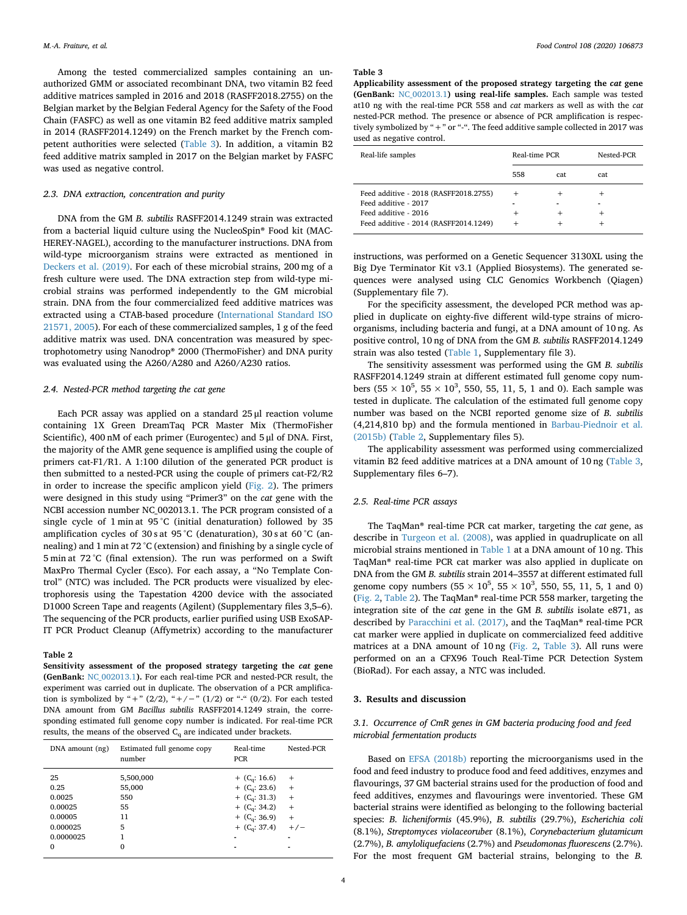Among the tested commercialized samples containing an unauthorized GMM or associated recombinant DNA, two vitamin B2 feed additive matrices sampled in 2016 and 2018 (RASFF2018.2755) on the Belgian market by the Belgian Federal Agency for the Safety of the Food Chain (FASFC) as well as one vitamin B2 feed additive matrix sampled in 2014 (RASFF2014.1249) on the French market by the French competent authorities were selected ([Table 3](#page-3-0)). In addition, a vitamin B2 feed additive matrix sampled in 2017 on the Belgian market by FASFC was used as negative control.

### *2.3. DNA extraction, concentration and purity*

DNA from the GM *B. subtilis* RASFF2014.1249 strain was extracted from a bacterial liquid culture using the NucleoSpin® Food kit (MAC-HEREY-NAGEL), according to the manufacturer instructions. DNA from wild-type microorganism strains were extracted as mentioned in [Deckers et al. \(2019\).](#page-6-2) For each of these microbial strains, 200 mg of a fresh culture were used. The DNA extraction step from wild-type microbial strains was performed independently to the GM microbial strain. DNA from the four commercialized feed additive matrices was extracted using a CTAB-based procedure ([International Standard ISO](#page-7-19) [21571, 2005](#page-7-19)). For each of these commercialized samples, 1 g of the feed additive matrix was used. DNA concentration was measured by spectrophotometry using Nanodrop® 2000 (ThermoFisher) and DNA purity was evaluated using the A260/A280 and A260/A230 ratios.

#### *2.4. Nested-PCR method targeting the cat gene*

Each PCR assay was applied on a standard 25 μl reaction volume containing 1X Green DreamTaq PCR Master Mix (ThermoFisher Scientific), 400 nM of each primer (Eurogentec) and 5 μl of DNA. First, the majority of the AMR gene sequence is amplified using the couple of primers cat-F1/R1. A 1:100 dilution of the generated PCR product is then submitted to a nested-PCR using the couple of primers cat-F2/R2 in order to increase the specific amplicon yield ([Fig. 2\)](#page-5-0). The primers were designed in this study using "Primer3" on the *cat* gene with the NCBI accession number NC\_002013.1. The PCR program consisted of a single cycle of 1 min at 95 °C (initial denaturation) followed by 35 amplification cycles of 30 s at 95 °C (denaturation), 30 s at 60 °C (annealing) and 1 min at 72 °C (extension) and finishing by a single cycle of 5 min at 72 °C (final extension). The run was performed on a Swift MaxPro Thermal Cycler (Esco). For each assay, a "No Template Control" (NTC) was included. The PCR products were visualized by electrophoresis using the Tapestation 4200 device with the associated D1000 Screen Tape and reagents (Agilent) (Supplementary files 3,5–6). The sequencing of the PCR products, earlier purified using USB ExoSAP-IT PCR Product Cleanup (Affymetrix) according to the manufacturer

#### <span id="page-3-1"></span>**Table 2**

**Sensitivity assessment of the proposed strategy targeting the** *cat* **gene (GenBank:** [NC\\_002013.1](http://www.ncbi.nlm.nih.gov/entrez/query.fcgi?cmd=search&db=nucleotide&doptcmdl=genbank&term=NC_002013.1)**).** For each real-time PCR and nested-PCR result, the experiment was carried out in duplicate. The observation of a PCR amplification is symbolized by "+"  $(2/2)$ , "+/-"  $(1/2)$  or "-"  $(0/2)$ . For each tested DNA amount from GM *Bacillus subtilis* RASFF2014.1249 strain, the corresponding estimated full genome copy number is indicated. For real-time PCR results, the means of the observed  $\mathrm{C_q}$  are indicated under brackets.

| DNA amount (ng) | Estimated full genome copy<br>number | Real-time<br><b>PCR</b>     | Nested-PCR |
|-----------------|--------------------------------------|-----------------------------|------------|
| 25              | 5,500,000                            | $+$ (C <sub>a</sub> : 16.6) | $\ddot{}$  |
| 0.25            | 55,000                               | $+$ (C <sub>o</sub> : 23.6) | $^{+}$     |
| 0.0025          | 550                                  | $+$ (C <sub>o</sub> : 31.3) | $^{+}$     |
| 0.00025         | 55                                   | $+$ (C <sub>o</sub> : 34.2) | $^{+}$     |
| 0.00005         | 11                                   | $+$ (C <sub>a</sub> : 36.9) | $^{+}$     |
| 0.000025        | 5                                    | $+$ (C <sub>0</sub> : 37.4) | $+/-$      |
| 0.0000025       |                                      |                             |            |
| 0               | $\Omega$                             |                             |            |

#### <span id="page-3-0"></span>**Table 3**

**Applicability assessment of the proposed strategy targeting the** *cat* **gene (GenBank:** [NC\\_002013.1](http://www.ncbi.nlm.nih.gov/entrez/query.fcgi?cmd=search&db=nucleotide&doptcmdl=genbank&term=NC_002013.1)**) using real-life samples.** Each sample was tested at10 ng with the real-time PCR 558 and *cat* markers as well as with the *cat* nested-PCR method. The presence or absence of PCR amplification is respectively symbolized by "+" or "-". The feed additive sample collected in 2017 was used as negative control.

| Real-life samples                     | Real-time PCR |     | Nested-PCR |
|---------------------------------------|---------------|-----|------------|
|                                       | 558           | cat | cat        |
| Feed additive - 2018 (RASFF2018.2755) | ÷             |     |            |
| Feed additive - 2017                  |               |     |            |
| Feed additive - 2016                  | $^{+}$        |     |            |
| Feed additive - 2014 (RASFF2014.1249) | $^+$          |     |            |

instructions, was performed on a Genetic Sequencer 3130XL using the Big Dye Terminator Kit v3.1 (Applied Biosystems). The generated sequences were analysed using CLC Genomics Workbench (Qiagen) (Supplementary file 7).

For the specificity assessment, the developed PCR method was applied in duplicate on eighty-five different wild-type strains of microorganisms, including bacteria and fungi, at a DNA amount of 10 ng. As positive control, 10 ng of DNA from the GM *B. subtilis* RASFF2014.1249 strain was also tested ([Table 1](#page-1-0), Supplementary file 3).

The sensitivity assessment was performed using the GM *B. subtilis* RASFF2014.1249 strain at different estimated full genome copy numbers (55  $\times$  10<sup>5</sup>, 55  $\times$  10<sup>3</sup>, 550, 55, 11, 5, 1 and 0). Each sample was tested in duplicate. The calculation of the estimated full genome copy number was based on the NCBI reported genome size of *B. subtilis* (4,214,810 bp) and the formula mentioned in [Barbau-Piednoir et al.](#page-6-1) [\(2015b\)](#page-6-1) ([Table 2](#page-3-1), Supplementary files 5).

The applicability assessment was performed using commercialized vitamin B2 feed additive matrices at a DNA amount of 10 ng ([Table 3](#page-3-0), Supplementary files 6–7).

#### *2.5. Real-time PCR assays*

The TaqMan® real-time PCR cat marker, targeting the *cat* gene, as describe in [Turgeon et al. \(2008\)](#page-7-18), was applied in quadruplicate on all microbial strains mentioned in [Table 1](#page-1-0) at a DNA amount of 10 ng. This TaqMan® real-time PCR cat marker was also applied in duplicate on DNA from the GM *B. subtilis* strain 2014–3557 at different estimated full genome copy numbers  $(55 \times 10^5, 55 \times 10^3, 550, 55, 11, 5, 1$  and 0) ([Fig. 2](#page-5-0), [Table 2\)](#page-3-1). The TaqMan® real-time PCR 558 marker, targeting the integration site of the *cat* gene in the GM *B. subtilis* isolate e871, as described by [Paracchini et al. \(2017\),](#page-7-3) and the TaqMan® real-time PCR cat marker were applied in duplicate on commercialized feed additive matrices at a DNA amount of 10 ng ([Fig. 2,](#page-5-0) [Table 3](#page-3-0)). All runs were performed on an a CFX96 Touch Real-Time PCR Detection System (BioRad). For each assay, a NTC was included.

# **3. Results and discussion**

# *3.1. Occurrence of CmR genes in GM bacteria producing food and feed microbial fermentation products*

Based on [EFSA \(2018b\)](#page-6-9) reporting the microorganisms used in the food and feed industry to produce food and feed additives, enzymes and flavourings, 37 GM bacterial strains used for the production of food and feed additives, enzymes and flavourings were inventoried. These GM bacterial strains were identified as belonging to the following bacterial species: *B. licheniformis* (45.9%), *B. subtilis* (29.7%), *Escherichia coli* (8.1%), *Streptomyces violaceorube*r (8.1%), *Corynebacterium glutamicum* (2.7%), *B. amyloliquefaciens* (2.7%) and *Pseudomonas fluorescens* (2.7%). For the most frequent GM bacterial strains, belonging to the *B.*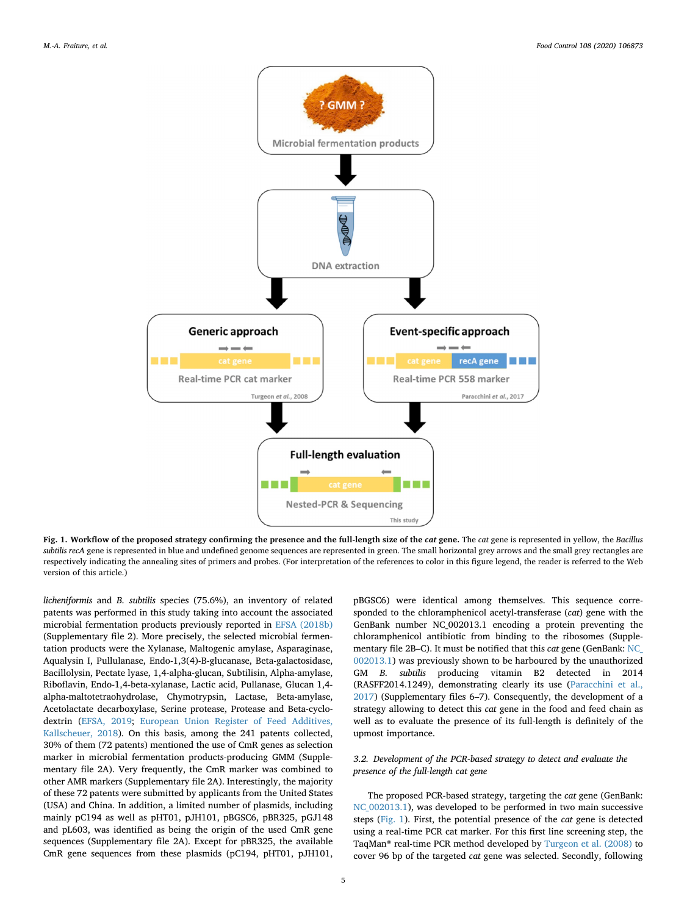<span id="page-4-0"></span>

**Fig. 1. Workflow of the proposed strategy confirming the presence and the full-length size of the** *cat* **gene.** The *cat* gene is represented in yellow, the *Bacillus subtilis recA* gene is represented in blue and undefined genome sequences are represented in green. The small horizontal grey arrows and the small grey rectangles are respectively indicating the annealing sites of primers and probes. (For interpretation of the references to color in this figure legend, the reader is referred to the Web version of this article.)

*licheniformis* and *B. subtilis* species (75.6%), an inventory of related patents was performed in this study taking into account the associated microbial fermentation products previously reported in [EFSA \(2018b\)](#page-6-9) (Supplementary file 2). More precisely, the selected microbial fermentation products were the Xylanase, Maltogenic amylase, Asparaginase, Aqualysin I, Pullulanase, Endo-1,3(4)-B-glucanase, Beta-galactosidase, Bacillolysin, Pectate lyase, 1,4-alpha-glucan, Subtilisin, Alpha-amylase, Riboflavin, Endo-1,4-beta-xylanase, Lactic acid, Pullanase, Glucan 1,4 alpha-maltotetraohydrolase, Chymotrypsin, Lactase, Beta-amylase, Acetolactate decarboxylase, Serine protease, Protease and Beta-cyclodextrin ([EFSA, 2019](#page-6-7); [European Union Register of Feed Additives,](#page-7-20) [Kallscheuer, 2018](#page-7-20)). On this basis, among the 241 patents collected, 30% of them (72 patents) mentioned the use of CmR genes as selection marker in microbial fermentation products-producing GMM (Supplementary file 2A). Very frequently, the CmR marker was combined to other AMR markers (Supplementary file 2A). Interestingly, the majority of these 72 patents were submitted by applicants from the United States (USA) and China. In addition, a limited number of plasmids, including mainly pC194 as well as pHT01, pJH101, pBGSC6, pBR325, pGJ148 and pL603, was identified as being the origin of the used CmR gene sequences (Supplementary file 2A). Except for pBR325, the available CmR gene sequences from these plasmids (pC194, pHT01, pJH101,

pBGSC6) were identical among themselves. This sequence corresponded to the chloramphenicol acetyl-transferase (*cat*) gene with the GenBank number NC\_002013.1 encoding a protein preventing the chloramphenicol antibiotic from binding to the ribosomes (Supplementary file 2B–C). It must be notified that this *cat* gene (GenBank: [NC\\_](http://www.ncbi.nlm.nih.gov/entrez/query.fcgi?cmd=search&db=nucleotide&doptcmdl=genbank&term=NC_002013.1) [002013.1](http://www.ncbi.nlm.nih.gov/entrez/query.fcgi?cmd=search&db=nucleotide&doptcmdl=genbank&term=NC_002013.1)) was previously shown to be harboured by the unauthorized GM *B. subtilis* producing vitamin B2 detected in 2014 (RASFF2014.1249), demonstrating clearly its use ([Paracchini et al.,](#page-7-3) [2017\)](#page-7-3) (Supplementary files 6–7). Consequently, the development of a strategy allowing to detect this *cat* gene in the food and feed chain as well as to evaluate the presence of its full-length is definitely of the upmost importance.

# *3.2. Development of the PCR-based strategy to detect and evaluate the presence of the full-length cat gene*

The proposed PCR-based strategy, targeting the *cat* gene (GenBank: [NC\\_002013.1\)](http://www.ncbi.nlm.nih.gov/entrez/query.fcgi?cmd=search&db=nucleotide&doptcmdl=genbank&term=NC_002013.1), was developed to be performed in two main successive steps [\(Fig. 1\)](#page-4-0). First, the potential presence of the *cat* gene is detected using a real-time PCR cat marker. For this first line screening step, the TaqMan® real-time PCR method developed by [Turgeon et al. \(2008\)](#page-7-18) to cover 96 bp of the targeted *cat* gene was selected. Secondly, following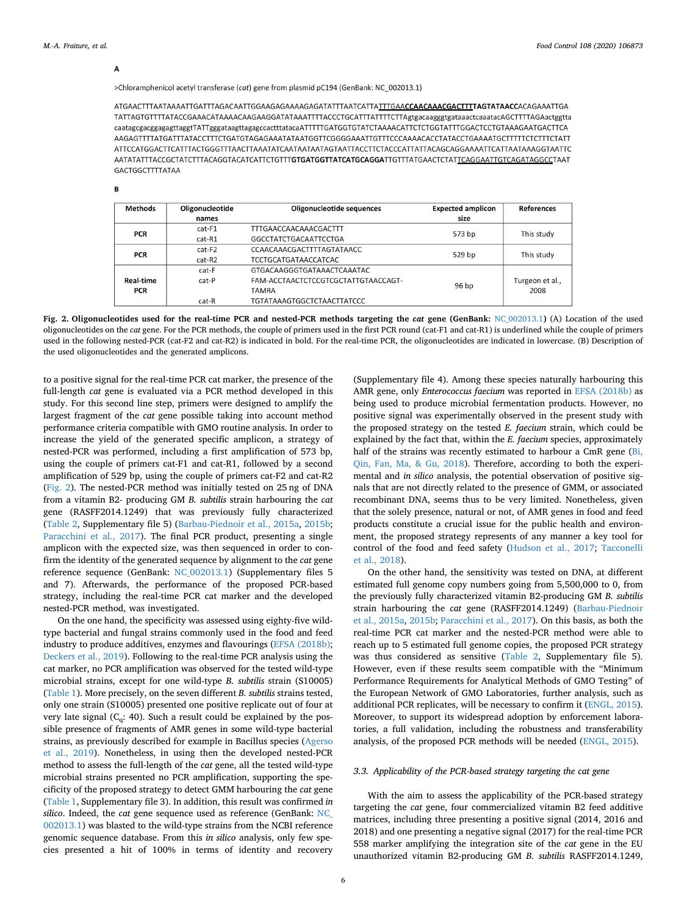# <span id="page-5-0"></span>A

>Chloramphenicol acetyl transferase (cat) gene from plasmid pC194 (GenBank: NC 002013.1)

ATGAACTTTAATAAAATTGATTTAGACAATTGGAAGAGAAAAGAGATATTTAATCATTATTTGAACCAACAACGACTTTTAGTATAACCACAGAAATTGA caatagcgacggagagttaggtTATTgggataagttagagccactttatacaATTTTTGATGGTGTATCTAAAACATTCTCTGGTATTTGGACTCCTGTAAAGAATGACTTCA AAGAGTTTTATGATTTATACCTTTCTGATGTAGAGAAATATAATGGTTCGGGGAAATTGTTTCCCAAAACACCTATACCTGAAAATGCTTTTTCTCTTTCTATT ATTCCATGGACTTCATTTACTGGGTTTAACTTAAATATCAATAATAATAATAGTAATTTACCTTCTACCCATTATTACAGCAGGAAAATTCATTAATAAAGGTAATTC AATATATTTACCGCTATCTTTACAGGTACATCATTCTGTTTGTGATGGTTATCATGCAGGATTGTTTATGAACTCTATTCAGGAATTGTCAGATAGGCCTAAT GACTGGCTTTTATAA

B

| <b>Methods</b> | Oligonucleotide                              | Oligonucleotide sequences   | <b>Expected amplicon</b> | <b>References</b> |
|----------------|----------------------------------------------|-----------------------------|--------------------------|-------------------|
|                | names                                        |                             | size                     |                   |
| <b>PCR</b>     | cat-F1                                       | TTTGAACCAACAAACGACTTT       | 573 bp                   | This study        |
|                | cat-R1                                       | GGCCTATCTGACAATTCCTGA       |                          |                   |
| cat-F2         |                                              | CCAACAAACGACTTTTAGTATAACC   | 529 bp                   | This study        |
| <b>PCR</b>     | cat-R2                                       | <b>TCCTGCATGATAACCATCAC</b> |                          |                   |
|                | cat-F                                        | GTGACAAGGGTGATAAACTCAAATAC  |                          |                   |
| Real-time      | cat-P<br>FAM-ACCTAACTCTCCGTCGCTATTGTAACCAGT- |                             | 96 bp                    | Turgeon et al.,   |
| <b>PCR</b>     |                                              | TAMRA                       |                          | 2008              |
|                | $cat-R$                                      | TGTATAAAGTGGCTCTAACTTATCCC  |                          |                   |



to a positive signal for the real-time PCR cat marker, the presence of the full-length *cat* gene is evaluated via a PCR method developed in this study. For this second line step, primers were designed to amplify the largest fragment of the *cat* gene possible taking into account method performance criteria compatible with GMO routine analysis. In order to increase the yield of the generated specific amplicon, a strategy of nested-PCR was performed, including a first amplification of 573 bp, using the couple of primers cat-F1 and cat-R1, followed by a second amplification of 529 bp, using the couple of primers cat-F2 and cat-R2 ([Fig. 2](#page-5-0)). The nested-PCR method was initially tested on 25 ng of DNA from a vitamin B2- producing GM *B. subtilis* strain harbouring the *cat* gene (RASFF2014.1249) that was previously fully characterized ([Table 2](#page-3-1), Supplementary file 5) ([Barbau-Piednoir et al., 2015a](#page-6-6), [2015b](#page-6-1); [Paracchini et al., 2017\)](#page-7-3). The final PCR product, presenting a single amplicon with the expected size, was then sequenced in order to confirm the identity of the generated sequence by alignment to the *cat* gene reference sequence (GenBank: [NC\\_002013.1](http://www.ncbi.nlm.nih.gov/entrez/query.fcgi?cmd=search&db=nucleotide&doptcmdl=genbank&term=NC_002013.1)) (Supplementary files 5 and 7). Afterwards, the performance of the proposed PCR-based strategy, including the real-time PCR cat marker and the developed nested-PCR method, was investigated.

On the one hand, the specificity was assessed using eighty-five wildtype bacterial and fungal strains commonly used in the food and feed industry to produce additives, enzymes and flavourings [\(EFSA \(2018b\)](#page-6-9); [Deckers et al., 2019](#page-6-2)). Following to the real-time PCR analysis using the cat marker, no PCR amplification was observed for the tested wild-type microbial strains, except for one wild-type *B. subtilis* strain (S10005) ([Table 1\)](#page-1-0). More precisely, on the seven different *B. subtilis* strains tested, only one strain (S10005) presented one positive replicate out of four at very late signal ( $C_q$ : 40). Such a result could be explained by the possible presence of fragments of AMR genes in some wild-type bacterial strains, as previously described for example in Bacillus species ([Agerso](#page-6-10) [et al., 2019](#page-6-10)). Nonetheless, in using then the developed nested-PCR method to assess the full-length of the *cat* gene, all the tested wild-type microbial strains presented no PCR amplification, supporting the specificity of the proposed strategy to detect GMM harbouring the *cat* gene ([Table 1,](#page-1-0) Supplementary file 3). In addition, this result was confirmed *in silico*. Indeed, the *cat* gene sequence used as reference (GenBank: [NC\\_](http://www.ncbi.nlm.nih.gov/entrez/query.fcgi?cmd=search&db=nucleotide&doptcmdl=genbank&term=NC_002013.1) [002013.1](http://www.ncbi.nlm.nih.gov/entrez/query.fcgi?cmd=search&db=nucleotide&doptcmdl=genbank&term=NC_002013.1)) was blasted to the wild-type strains from the NCBI reference genomic sequence database. From this *in silico* analysis, only few species presented a hit of 100% in terms of identity and recovery

(Supplementary file 4). Among these species naturally harbouring this AMR gene, only *Enterococcus faecium* was reported in [EFSA \(2018b\)](#page-6-9) as being used to produce microbial fermentation products. However, no positive signal was experimentally observed in the present study with the proposed strategy on the tested *E. faecium* strain, which could be explained by the fact that, within the *E. faecium* species, approximately half of the strains was recently estimated to harbour a CmR gene [\(Bi,](#page-6-11) [Qin, Fan, Ma, & Gu, 2018\)](#page-6-11). Therefore, according to both the experimental and *in silico* analysis, the potential observation of positive signals that are not directly related to the presence of GMM, or associated recombinant DNA, seems thus to be very limited. Nonetheless, given that the solely presence, natural or not, of AMR genes in food and feed products constitute a crucial issue for the public health and environment, the proposed strategy represents of any manner a key tool for control of the food and feed safety [\(Hudson et al., 2017;](#page-7-21) [Tacconelli](#page-7-22) [et al., 2018](#page-7-22)).

On the other hand, the sensitivity was tested on DNA, at different estimated full genome copy numbers going from 5,500,000 to 0, from the previously fully characterized vitamin B2-producing GM *B. subtilis* strain harbouring the *cat* gene (RASFF2014.1249) [\(Barbau-Piednoir](#page-6-6) [et al., 2015a,](#page-6-6) [2015b;](#page-6-1) [Paracchini et al., 2017\)](#page-7-3). On this basis, as both the real-time PCR cat marker and the nested-PCR method were able to reach up to 5 estimated full genome copies, the proposed PCR strategy was thus considered as sensitive ([Table 2,](#page-3-1) Supplementary file 5). However, even if these results seem compatible with the "Minimum Performance Requirements for Analytical Methods of GMO Testing" of the European Network of GMO Laboratories, further analysis, such as additional PCR replicates, will be necessary to confirm it ([ENGL, 2015](#page-6-12)). Moreover, to support its widespread adoption by enforcement laboratories, a full validation, including the robustness and transferability analysis, of the proposed PCR methods will be needed ([ENGL, 2015\)](#page-6-12).

#### *3.3. Applicability of the PCR-based strategy targeting the cat gene*

With the aim to assess the applicability of the PCR-based strategy targeting the *cat* gene, four commercialized vitamin B2 feed additive matrices, including three presenting a positive signal (2014, 2016 and 2018) and one presenting a negative signal (2017) for the real-time PCR 558 marker amplifying the integration site of the *cat* gene in the EU unauthorized vitamin B2-producing GM *B. subtilis* RASFF2014.1249,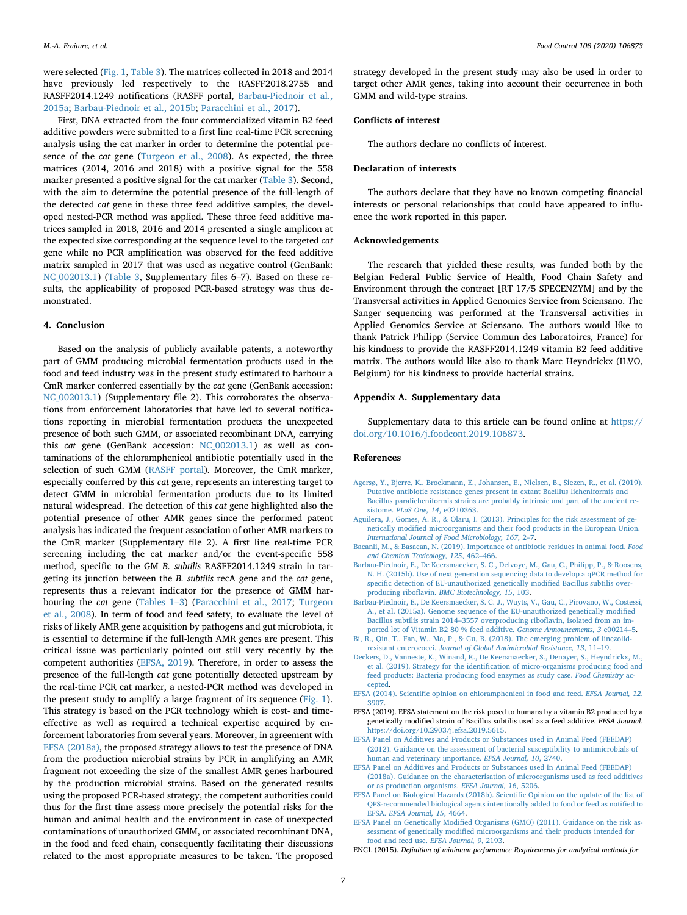were selected ([Fig. 1](#page-4-0), [Table 3](#page-3-0)). The matrices collected in 2018 and 2014 have previously led respectively to the RASFF2018.2755 and RASFF2014.1249 notifications (RASFF portal, [Barbau-Piednoir et al.,](#page-6-6) [2015a;](#page-6-6) [Barbau-Piednoir et al., 2015b;](#page-6-1) [Paracchini et al., 2017](#page-7-3)).

First, DNA extracted from the four commercialized vitamin B2 feed additive powders were submitted to a first line real-time PCR screening analysis using the cat marker in order to determine the potential presence of the *cat* gene [\(Turgeon et al., 2008\)](#page-7-18). As expected, the three matrices (2014, 2016 and 2018) with a positive signal for the 558 marker presented a positive signal for the cat marker ([Table 3](#page-3-0)). Second, with the aim to determine the potential presence of the full-length of the detected *cat* gene in these three feed additive samples, the developed nested-PCR method was applied. These three feed additive matrices sampled in 2018, 2016 and 2014 presented a single amplicon at the expected size corresponding at the sequence level to the targeted *cat* gene while no PCR amplification was observed for the feed additive matrix sampled in 2017 that was used as negative control (GenBank: [NC\\_002013.1\)](http://www.ncbi.nlm.nih.gov/entrez/query.fcgi?cmd=search&db=nucleotide&doptcmdl=genbank&term=NC_002013.1) ([Table 3](#page-3-0), Supplementary files 6–7). Based on these results, the applicability of proposed PCR-based strategy was thus demonstrated.

#### **4. Conclusion**

Based on the analysis of publicly available patents, a noteworthy part of GMM producing microbial fermentation products used in the food and feed industry was in the present study estimated to harbour a CmR marker conferred essentially by the *cat* gene (GenBank accession: [NC\\_002013.1\)](http://www.ncbi.nlm.nih.gov/entrez/query.fcgi?cmd=search&db=nucleotide&doptcmdl=genbank&term=NC_002013.1) (Supplementary file 2). This corroborates the observations from enforcement laboratories that have led to several notifications reporting in microbial fermentation products the unexpected presence of both such GMM, or associated recombinant DNA, carrying this *cat* gene (GenBank accession: [NC\\_002013.1](http://www.ncbi.nlm.nih.gov/entrez/query.fcgi?cmd=search&db=nucleotide&doptcmdl=genbank&term=NC_002013.1)) as well as contaminations of the chloramphenicol antibiotic potentially used in the selection of such GMM ([RASFF portal\)](#page-7-5). Moreover, the CmR marker, especially conferred by this *cat* gene, represents an interesting target to detect GMM in microbial fermentation products due to its limited natural widespread. The detection of this *cat* gene highlighted also the potential presence of other AMR genes since the performed patent analysis has indicated the frequent association of other AMR markers to the CmR marker (Supplementary file 2). A first line real-time PCR screening including the cat marker and/or the event-specific 558 method, specific to the GM *B. subtilis* RASFF2014.1249 strain in targeting its junction between the *B. subtilis* recA gene and the *cat* gene, represents thus a relevant indicator for the presence of GMM harbouring the *cat* gene ([Tables 1–3\)](#page-1-0) ([Paracchini et al., 2017](#page-7-3); [Turgeon](#page-7-18) [et al., 2008](#page-7-18)). In term of food and feed safety, to evaluate the level of risks of likely AMR gene acquisition by pathogens and gut microbiota, it is essential to determine if the full-length AMR genes are present. This critical issue was particularly pointed out still very recently by the competent authorities ([EFSA, 2019\)](#page-6-7). Therefore, in order to assess the presence of the full-length *cat* gene potentially detected upstream by the real-time PCR cat marker, a nested-PCR method was developed in the present study to amplify a large fragment of its sequence ([Fig. 1](#page-4-0)). This strategy is based on the PCR technology which is cost- and timeeffective as well as required a technical expertise acquired by enforcement laboratories from several years. Moreover, in agreement with [EFSA \(2018a\)](#page-6-13), the proposed strategy allows to test the presence of DNA from the production microbial strains by PCR in amplifying an AMR fragment not exceeding the size of the smallest AMR genes harboured by the production microbial strains. Based on the generated results using the proposed PCR-based strategy, the competent authorities could thus for the first time assess more precisely the potential risks for the human and animal health and the environment in case of unexpected contaminations of unauthorized GMM, or associated recombinant DNA, in the food and feed chain, consequently facilitating their discussions related to the most appropriate measures to be taken. The proposed

strategy developed in the present study may also be used in order to target other AMR genes, taking into account their occurrence in both GMM and wild-type strains.

#### **Conflicts of interest**

The authors declare no conflicts of interest.

#### **Declaration of interests**

The authors declare that they have no known competing financial interests or personal relationships that could have appeared to influence the work reported in this paper.

#### **Acknowledgements**

The research that yielded these results, was funded both by the Belgian Federal Public Service of Health, Food Chain Safety and Environment through the contract [RT 17/5 SPECENZYM] and by the Transversal activities in Applied Genomics Service from Sciensano. The Sanger sequencing was performed at the Transversal activities in Applied Genomics Service at Sciensano. The authors would like to thank Patrick Philipp (Service Commun des Laboratoires, France) for his kindness to provide the RASFF2014.1249 vitamin B2 feed additive matrix. The authors would like also to thank Marc Heyndrickx (ILVO, Belgium) for his kindness to provide bacterial strains.

#### **Appendix A. Supplementary data**

Supplementary data to this article can be found online at [https://](https://doi.org/10.1016/j.foodcont.2019.106873) [doi.org/10.1016/j.foodcont.2019.106873.](https://doi.org/10.1016/j.foodcont.2019.106873)

#### **References**

- <span id="page-6-10"></span>[Agersø, Y., Bjerre, K., Brockmann, E., Johansen, E., Nielsen, B., Siezen, R., et al. \(2019\).](http://refhub.elsevier.com/S0956-7135(19)30462-1/sref1) [Putative antibiotic resistance genes present in extant Bacillus licheniformis and](http://refhub.elsevier.com/S0956-7135(19)30462-1/sref1) [Bacillus paralicheniformis strains are probably intrinsic and part of the ancient re](http://refhub.elsevier.com/S0956-7135(19)30462-1/sref1)sistome. *[PLoS One, 14](http://refhub.elsevier.com/S0956-7135(19)30462-1/sref1)*, e0210363.
- <span id="page-6-0"></span>[Aguilera, J., Gomes, A. R., & Olaru, I. \(2013\). Principles for the risk assessment of ge](http://refhub.elsevier.com/S0956-7135(19)30462-1/sref2)[netically modified microorganisms and their food products in the European Union.](http://refhub.elsevier.com/S0956-7135(19)30462-1/sref2) *[International Journal of Food Microbiology, 167](http://refhub.elsevier.com/S0956-7135(19)30462-1/sref2)*, 2–7.
- <span id="page-6-5"></span>[Bacanli, M., & Basacan, N. \(2019\). Importance of antibiotic residues in animal food.](http://refhub.elsevier.com/S0956-7135(19)30462-1/sref4) *Food [and Chemical Toxicology, 125](http://refhub.elsevier.com/S0956-7135(19)30462-1/sref4)*, 462–466.
- <span id="page-6-1"></span>[Barbau-Piednoir, E., De Keersmaecker, S. C., Delvoye, M., Gau, C., Philipp, P., & Roosens,](http://refhub.elsevier.com/S0956-7135(19)30462-1/sref5) [N. H. \(2015b\). Use of next generation sequencing data to develop a qPCR method for](http://refhub.elsevier.com/S0956-7135(19)30462-1/sref5) [specific detection of EU-unauthorized genetically modified Bacillus subtilis over](http://refhub.elsevier.com/S0956-7135(19)30462-1/sref5)producing riboflavin. *[BMC Biotechnology, 15](http://refhub.elsevier.com/S0956-7135(19)30462-1/sref5)*, 103.
- <span id="page-6-6"></span>[Barbau-Piednoir, E., De Keersmaecker, S. C. J., Wuyts, V., Gau, C., Pirovano, W., Costessi,](http://refhub.elsevier.com/S0956-7135(19)30462-1/sref6) [A., et al. \(2015a\). Genome sequence of the EU-unauthorized genetically modified](http://refhub.elsevier.com/S0956-7135(19)30462-1/sref6) [Bacillus subtilis strain 2014–3557 overproducing riboflavin, isolated from an im](http://refhub.elsevier.com/S0956-7135(19)30462-1/sref6)[ported lot of Vitamin B2 80 % feed additive.](http://refhub.elsevier.com/S0956-7135(19)30462-1/sref6) *Genome Announcements, 3* e00214–5.
- <span id="page-6-11"></span>[Bi, R., Qin, T., Fan, W., Ma, P., & Gu, B. \(2018\). The emerging problem of linezolid](http://refhub.elsevier.com/S0956-7135(19)30462-1/sref7)resistant enterococci. *[Journal of Global Antimicrobial Resistance, 13](http://refhub.elsevier.com/S0956-7135(19)30462-1/sref7)*, 11–19.
- <span id="page-6-2"></span>[Deckers, D., Vanneste, K., Winand, R., De Keersmaecker, S., Denayer, S., Heyndrickx, M.,](http://refhub.elsevier.com/S0956-7135(19)30462-1/sref8) [et al. \(2019\). Strategy for the identification of micro-organisms producing food and](http://refhub.elsevier.com/S0956-7135(19)30462-1/sref8) [feed products: Bacteria producing food enzymes as study case.](http://refhub.elsevier.com/S0956-7135(19)30462-1/sref8) *Food Chemistry* ac[cepted](http://refhub.elsevier.com/S0956-7135(19)30462-1/sref8).
- <span id="page-6-4"></span>[EFSA \(2014\). Scientific opinion on chloramphenicol in food and feed.](http://refhub.elsevier.com/S0956-7135(19)30462-1/sref9) *EFSA Journal, 12*, [3907.](http://refhub.elsevier.com/S0956-7135(19)30462-1/sref9)
- <span id="page-6-7"></span>EFSA (2019). EFSA statement on the risk posed to humans by a vitamin B2 produced by a genetically modified strain of Bacillus subtilis used as a feed additive. *EFSA Journal*. <https://doi.org/10.2903/j.efsa.2019.5615>.
- <span id="page-6-3"></span>[EFSA Panel on Additives and Products or Substances used in Animal Feed \(FEEDAP\)](http://refhub.elsevier.com/S0956-7135(19)30462-1/sref11) [\(2012\). Guidance on the assessment of bacterial susceptibility to antimicrobials of](http://refhub.elsevier.com/S0956-7135(19)30462-1/sref11) [human and veterinary importance.](http://refhub.elsevier.com/S0956-7135(19)30462-1/sref11) *EFSA Journal, 10*, 2740.
- <span id="page-6-13"></span>[EFSA Panel on Additives and Products or Substances used in Animal Feed \(FEEDAP\)](http://refhub.elsevier.com/S0956-7135(19)30462-1/sref12) [\(2018a\). Guidance on the characterisation of microorganisms used as feed additives](http://refhub.elsevier.com/S0956-7135(19)30462-1/sref12) [or as production organisms.](http://refhub.elsevier.com/S0956-7135(19)30462-1/sref12) *EFSA Journal, 16*, 5206.
- <span id="page-6-9"></span>[EFSA Panel on Biological Hazards \(2018b\). Scientific Opinion on the update of the list of](http://refhub.elsevier.com/S0956-7135(19)30462-1/sref13) [QPS-recommended biological agents intentionally added to food or feed as notified to](http://refhub.elsevier.com/S0956-7135(19)30462-1/sref13) EFSA. *[EFSA Journal, 15](http://refhub.elsevier.com/S0956-7135(19)30462-1/sref13)*, 4664.
- <span id="page-6-8"></span>[EFSA Panel on Genetically Modified Organisms \(GMO\) \(2011\). Guidance on the risk as](http://refhub.elsevier.com/S0956-7135(19)30462-1/sref14)[sessment of genetically modified microorganisms and their products intended for](http://refhub.elsevier.com/S0956-7135(19)30462-1/sref14) [food and feed use.](http://refhub.elsevier.com/S0956-7135(19)30462-1/sref14) *EFSA Journal, 9*, 2193.
- <span id="page-6-12"></span>ENGL (2015). *Definition of minimum performance Requirements for analytical methods for*